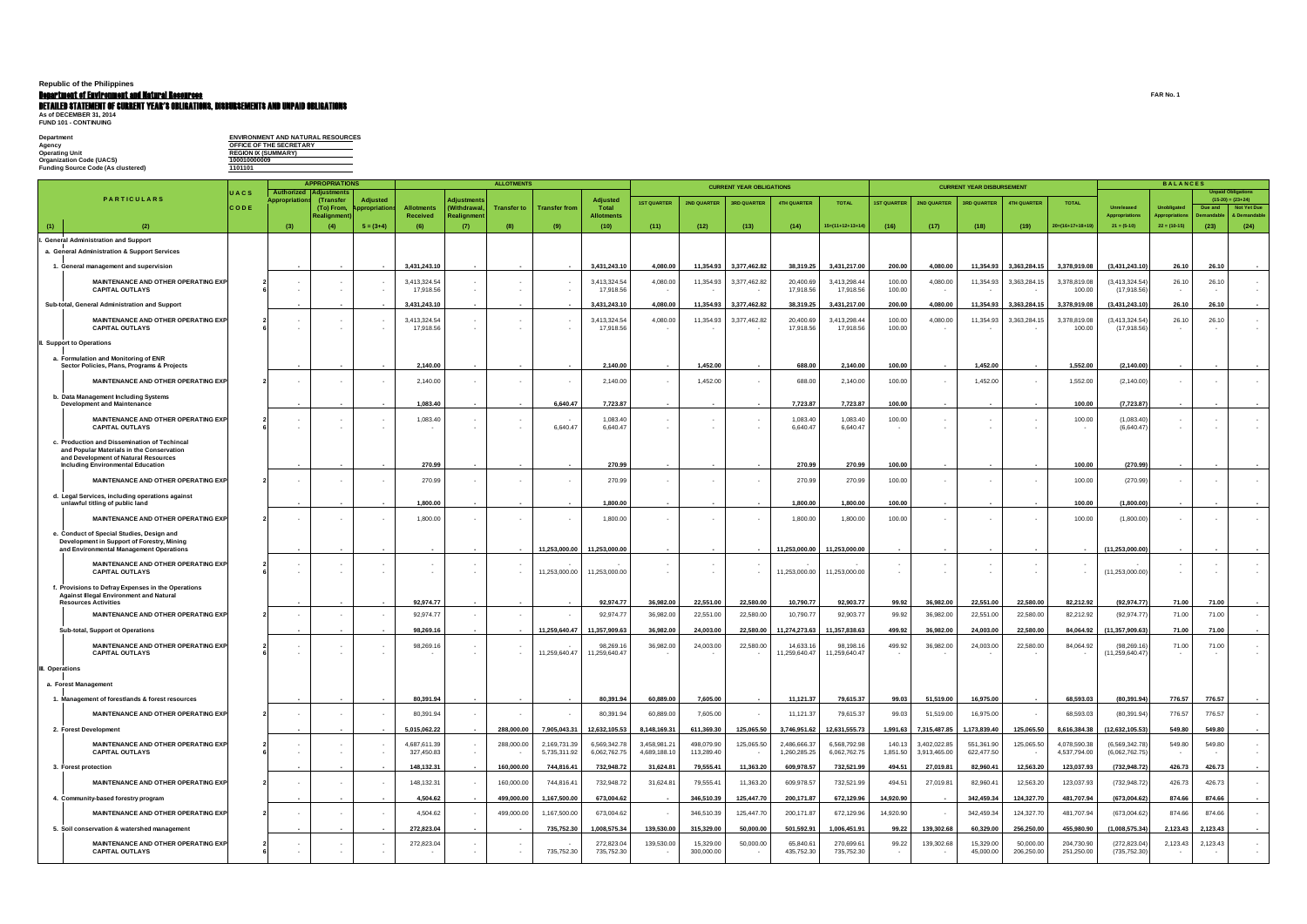## **Republic of the Philippines**

### Department of Environment and Natural Resources **FAR No. 1**

# **Detailed statement of current year's obligations, disbursements and unpaid obligations<br>As of December 31, 2014<br>FUND 101 - Continuing**

| <b>ENVIRONMENT AND NATURAL RESOURCES</b> |
|------------------------------------------|
| OFFICE OF THE SECRETARY                  |
| <b>REGION IX (SUMMARY)</b>               |
| 100010000009                             |
| 1101101                                  |
|                                          |

|                                                                                                                                                                               |                     |                                     | <b>APPROPRIATIONS</b>                         |                         |                            |                                   | <b>ALLOTMENTS</b>  |                              |                              |                              | <b>CURRENT YEAR OBLIGATIONS</b> |                    |                              |                              |                    |                              | <b>CURRENT YEAR DISBURSEMENT</b> |                         |                              |                                        |                                        |                    |                                                                                        |
|-------------------------------------------------------------------------------------------------------------------------------------------------------------------------------|---------------------|-------------------------------------|-----------------------------------------------|-------------------------|----------------------------|-----------------------------------|--------------------|------------------------------|------------------------------|------------------------------|---------------------------------|--------------------|------------------------------|------------------------------|--------------------|------------------------------|----------------------------------|-------------------------|------------------------------|----------------------------------------|----------------------------------------|--------------------|----------------------------------------------------------------------------------------|
| <b>PARTICULARS</b>                                                                                                                                                            | UACS<br><b>CODE</b> | Authorized<br><b>Appropriation:</b> | <b>Adjustments</b><br>(Transfer<br>(To) From, | Adjusted<br>propriation | <b>Allotments</b>          | <b>Adjustments</b><br>(Withdrawal | <b>Transfer to</b> | <b>Transfer from</b>         | <b>Adjusted</b><br>Total     | <b>IST QUARTER</b>           | <b>2ND QUARTER</b>              | <b>3RD QUARTER</b> | <b>4TH QUARTER</b>           | <b>TOTAL</b>                 | <b>IST QUARTER</b> | <b>2ND QUARTER</b>           | <b>3RD QUARTER</b>               | <b>4TH QUARTER</b>      | <b>TOTAL</b>                 | <b>Unreleased</b>                      | <b>Unobligated</b>                     | Due and<br>emandal | <b>Unpaid Obligations</b><br>$(15-20) = (23+24)$<br><b>Not Yet Due</b><br>& Demandable |
| (2)<br>(1)                                                                                                                                                                    |                     | (3)                                 | Realignmer<br>(4)                             | $5 = (3+4)$             | <b>Received</b><br>(6)     | Realignmen<br>(7)                 | (8)                | (9)                          | Allotments<br>(10)           | (11)                         | (12)                            | (13)               | (14)                         | $15=(11+12+13+14)$           | (16)               | (17)                         | (18)                             | (19)                    | $20=(16+17+18+19)$           | <b>Appropriations</b><br>$21 = (5-10)$ | <b>Appropriation</b><br>$22 = (10-15)$ | (23)               | (24)                                                                                   |
| <b>General Administration and Support</b><br>a. General Administration & Support Services                                                                                     |                     |                                     |                                               |                         |                            |                                   |                    |                              |                              |                              |                                 |                    |                              |                              |                    |                              |                                  |                         |                              |                                        |                                        |                    |                                                                                        |
| 1. General management and supervision                                                                                                                                         |                     |                                     |                                               |                         | 3,431,243.10               |                                   |                    |                              | 3,431,243.10                 | 4,080.00                     | 11,354.93                       | 3,377,462.82       | 38,319.25                    | 3,431,217.00                 | 200.00             | 4,080.00                     | 11,354.93                        | 3,363,284.15            | 3,378,919.08                 | (3,431,243.10)                         | 26.10                                  | 26.10              |                                                                                        |
| MAINTENANCE AND OTHER OPERATING EXPI<br><b>CAPITAL OUTLAYS</b>                                                                                                                |                     |                                     |                                               |                         | 3,413,324.54<br>17,918.56  |                                   |                    |                              | 3,413,324.54<br>17,918.56    | 4,080.00                     | 11,354.93                       | 3,377,462.82       | 20,400.69<br>17,918.56       | 3,413,298.44<br>17,918.56    | 100.00<br>100.00   | 4,080.00                     | 11,354.93                        | 3,363,284.15            | 3,378,819.08<br>100.00       | (3,413,324.54)<br>(17, 918.56)         | 26.10<br><b>.</b>                      | 26.10              |                                                                                        |
| Sub-total, General Administration and Support                                                                                                                                 |                     |                                     |                                               |                         | 3,431,243.10               |                                   |                    |                              | 3,431,243.10                 | 4,080.00                     | 11,354.93                       | 3,377,462.82       | 38,319.25                    | 3,431,217.00                 | 200.00             | 4,080.00                     | 11,354.93                        | 3,363,284.15            | 3,378,919.08                 | (3,431,243.10)                         | 26.10                                  | 26.10              |                                                                                        |
| MAINTENANCE AND OTHER OPERATING EXPI<br><b>CAPITAL OUTLAYS</b>                                                                                                                |                     |                                     |                                               |                         | 3,413,324.54<br>17,918.56  |                                   |                    |                              | 3,413,324.54<br>17,918.56    | 4,080.00                     | 11,354.93                       | 3,377,462.82       | 20,400.69<br>17,918.56       | 3,413,298.44<br>17,918.56    | 100.00<br>100.00   | 4,080.00                     | 11,354.93                        | 3,363,284.15            | 3,378,819.08<br>100.00       | (3,413,324.54)<br>(17, 918.56)         | 26.10                                  | 26.10              |                                                                                        |
| I. Support to Operations                                                                                                                                                      |                     |                                     |                                               |                         |                            |                                   |                    |                              |                              |                              |                                 |                    |                              |                              |                    |                              |                                  |                         |                              |                                        |                                        |                    |                                                                                        |
| a. Formulation and Monitoring of ENR<br>Sector Policies, Plans, Programs & Projects                                                                                           |                     |                                     |                                               |                         | 2.140.00                   |                                   |                    |                              | 2.140.00                     |                              | 1.452.00                        |                    | 688.00                       | 2,140.00                     | 100.00             |                              | 1,452.00                         |                         | 1,552.00                     | (2, 140.00)                            |                                        |                    |                                                                                        |
| MAINTENANCE AND OTHER OPERATING EXPI                                                                                                                                          |                     |                                     |                                               |                         | 2,140.00                   | <b>.</b>                          |                    |                              | 2,140.00                     |                              | 1,452.00                        |                    | 688.00                       | 2,140.00                     | 100.00             |                              | 1,452.00                         |                         | 1,552.00                     | (2, 140.00)                            |                                        |                    |                                                                                        |
| b. Data Management Including Systems<br><b>Development and Maintenance</b>                                                                                                    |                     |                                     |                                               |                         | 1,083.40                   |                                   |                    | 6,640.47                     | 7,723.87                     |                              |                                 |                    | 7,723.87                     | 7,723.87                     | 100.00             |                              |                                  |                         | 100.00                       | (7, 723.87)                            |                                        |                    |                                                                                        |
| MAINTENANCE AND OTHER OPERATING EXPI<br><b>CAPITAL OUTLAYS</b>                                                                                                                |                     |                                     |                                               |                         | 1,083.40                   |                                   |                    | 6,640.47                     | 1,083.40<br>6.640.47         |                              |                                 |                    | 1,083.40<br>6,640.47         | 1,083.40<br>6,640.47         | 100.00             |                              |                                  |                         | 100.00                       | (1,083.40)<br>(6,640.47)               |                                        |                    |                                                                                        |
| c. Production and Dissemination of Techincal<br>and Popular Materials in the Conservation<br>and Development of Natural Resources<br><b>Including Environmental Education</b> |                     |                                     |                                               |                         | 270.99                     |                                   |                    |                              | 270.99                       |                              |                                 |                    | 270.99                       | 270.99                       | 100.00             |                              |                                  |                         | 100.00                       | (270.99)                               |                                        |                    |                                                                                        |
| MAINTENANCE AND OTHER OPERATING EXPI                                                                                                                                          |                     |                                     |                                               |                         | 270.99                     |                                   |                    |                              | 270.99                       |                              |                                 |                    | 270.99                       | 270.99                       | 100.00             |                              |                                  |                         | 100.00                       | (270.99)                               |                                        |                    |                                                                                        |
| d. Legal Services, including operations against<br>unlawful titling of public land                                                                                            |                     |                                     |                                               |                         | 1.800.00                   |                                   |                    |                              | 1.800.00                     |                              |                                 |                    | 1,800.00                     | 1,800.00                     | 100.00             |                              |                                  |                         | 100.00                       | (1,800.00)                             |                                        |                    |                                                                                        |
| MAINTENANCE AND OTHER OPERATING EXPI                                                                                                                                          |                     |                                     |                                               |                         | 1,800.00                   |                                   |                    |                              | 1,800.00                     |                              |                                 |                    | 1,800.00                     | 1,800.00                     | 100.00             |                              |                                  |                         | 100.00                       | (1,800.00)                             |                                        |                    |                                                                                        |
| e. Conduct of Special Studies, Design and<br>Development in Support of Forestry, Mining<br>and Environmental Management Operations                                            |                     |                                     |                                               |                         |                            |                                   |                    | 11,253,000.00                | 11,253,000.00                |                              |                                 |                    | 11,253,000.00                | 11,253,000.00                |                    |                              |                                  |                         |                              | (11, 253, 000.00)                      |                                        |                    |                                                                                        |
| MAINTENANCE AND OTHER OPERATING EXPI<br><b>CAPITAL OUTLAYS</b>                                                                                                                |                     |                                     |                                               |                         |                            |                                   |                    | 11,253,000.00                | 11,253,000.00                |                              |                                 |                    | 11,253,000.00                | 11,253,000.00                |                    |                              |                                  |                         |                              | (11,253,000.00)                        |                                        |                    |                                                                                        |
| f. Provisions to Defray Expenses in the Operations<br><b>Against Illegal Environment and Natural</b><br><b>Resources Activities</b>                                           |                     |                                     |                                               |                         | 92,974.77                  |                                   |                    |                              | 92.974.77                    | 36,982.00                    | 22,551.00                       | 22,580.00          | 10,790.77                    | 92,903.77                    | 99.92              | 36,982.00                    | 22,551.00                        | 22,580.00               | 82,212.92                    | (92, 974.77)                           | 71.00                                  | 71.00              |                                                                                        |
| <b>MAINTENANCE AND OTHER OPERATING EXPI</b>                                                                                                                                   |                     |                                     |                                               |                         | 92,974.77                  | $\sim$                            |                    |                              | 92,974.77                    | 36,982.00                    | 22,551.00                       | 22,580.00          | 10,790.77                    | 92,903.77                    | 99.92              | 36,982.00                    | 22,551.00                        | 22,580.00               | 82,212.92                    | (92, 974.77)                           | 71.00                                  | 71.00              |                                                                                        |
| Sub-total, Support ot Operations                                                                                                                                              |                     |                                     |                                               |                         | 98,269.16                  |                                   |                    | 11,259,640.47                | 11,357,909.63                | 36,982.00                    | 24,003.00                       | 22,580.00          | 11,274,273.63                | 11,357,838.63                | 499.92             | 36,982.00                    | 24,003.00                        | 22,580.00               | 84,064.92                    | (11, 357, 909.63)                      | 71.00                                  | 71.00              |                                                                                        |
| <b>MAINTENANCE AND OTHER OPERATING EXPI</b><br><b>CAPITAL OUTLAYS</b>                                                                                                         |                     |                                     |                                               |                         | 98,269.16                  |                                   |                    | 11,259,640.47                | 98,269.16<br>11,259,640.47   | 36,982.00                    | 24,003.00                       | 22,580.00          | 14,633.16<br>11,259,640.47   | 98,198.16<br>11,259,640.47   | 499.92             | 36,982.00                    | 24,003.00                        | 22,580.00               | 84,064.92                    | (98, 269.16)<br>(11, 259, 640.47)      | 71.00                                  | 71.00              |                                                                                        |
| l. Operations                                                                                                                                                                 |                     |                                     |                                               |                         |                            |                                   |                    |                              |                              |                              |                                 |                    |                              |                              |                    |                              |                                  |                         |                              |                                        |                                        |                    |                                                                                        |
| a. Forest Management                                                                                                                                                          |                     |                                     |                                               |                         |                            |                                   |                    |                              |                              |                              |                                 |                    |                              |                              |                    |                              |                                  |                         |                              |                                        |                                        |                    |                                                                                        |
| 1. Management of forestlands & forest resources                                                                                                                               |                     |                                     |                                               |                         | 80,391.94                  |                                   |                    |                              | 80,391.94                    | 60,889.00                    | 7,605.00                        | $\sim$             | 11,121.37                    | 79,615.37                    | 99.03              | 51,519.00                    | 16,975.00                        | $\sim$                  | 68,593.03                    | (80, 391.94)                           | 776.57                                 | 776.57             |                                                                                        |
| MAINTENANCE AND OTHER OPERATING EXPI                                                                                                                                          |                     | $\sim$                              | $\sim$                                        |                         | 80,391.94                  | $\sim$                            | $\sim$             |                              | 80,391.94                    | 60,889.00                    | 7,605.00                        |                    | 11,121.37                    | 79,615.37                    | 99.03              | 51,519.00                    | 16,975.00                        | $\sim$ $-$              | 68,593.03                    | (80, 391.94)                           | 776.57                                 | 776.57             | $\sim$                                                                                 |
| 2. Forest Development                                                                                                                                                         |                     |                                     |                                               |                         | 5,015,062.22               |                                   | 288,000.00         | 7,905,043.31                 | 12,632,105.53                | 8,148,169.31                 | 611,369.30                      | 125,065.50         | 3,746,951.62                 | 12,631,555.73                |                    | 1,991.63 7,315,487.85        | 1,173,839.40                     | 125,065.50              | 8,616,384.38                 | (12,632,105.53)                        | 549.80                                 | 549.80             |                                                                                        |
| MAINTENANCE AND OTHER OPERATING EXPI<br><b>CAPITAL OUTLAYS</b>                                                                                                                |                     |                                     |                                               |                         | 4,687,611.39<br>327,450.83 | $\sim$<br>$\sim$                  | 288,000.00         | 2,169,731.39<br>5,735,311.92 | 6,569,342.78<br>6,062,762.75 | 3,458,981.21<br>4,689,188.10 | 498,079.90<br>113,289.40        | 125,065.50         | 2,486,666.37<br>1,260,285.25 | 6,568,792.98<br>6,062,762.75 | 140.13<br>1,851.50 | 3,402,022.85<br>3,913,465.00 | 551,361.90<br>622,477.50         | 125,065.50              | 4,078,590.38<br>4,537,794.00 | (6, 569, 342.78)<br>(6,062,762.75)     | 549.80                                 | 549.80             |                                                                                        |
| 3. Forest protection                                                                                                                                                          |                     |                                     |                                               |                         | 148,132.31                 |                                   | 160,000.00         | 744,816.41                   | 732,948.72                   | 31,624.81                    | 79,555.41                       | 11,363.20          | 609,978.57                   | 732,521.99                   | 494.51             | 27,019.81                    | 82,960.41                        | 12,563.20               | 123,037.93                   | (732, 948.72)                          | 426.73                                 | 426.73             |                                                                                        |
| <b>MAINTENANCE AND OTHER OPERATING EXPI</b>                                                                                                                                   |                     |                                     |                                               |                         | 148,132.31                 |                                   | 160,000.00         | 744,816.41                   | 732,948.72                   | 31,624.81                    | 79,555.41                       | 11,363.20          | 609,978.57                   | 732,521.99                   | 494.51             | 27,019.81                    | 82,960.41                        | 12,563.20               | 123,037.93                   | (732, 948.72)                          | 426.73                                 | 426.73             | $\sim$                                                                                 |
| 4. Community-based forestry program                                                                                                                                           |                     |                                     |                                               |                         | 4,504.62                   | $\sim$                            | 499,000.00         | 1,167,500.00                 | 673,004.62                   | $\sim$                       | 346,510.39                      | 125,447.70         | 200,171.87                   | 672,129.96                   | 14,920.90          |                              | 342,459.34                       | 124,327.70              | 481,707.94                   | (673,004.62)                           | 874.66                                 | 874.66             |                                                                                        |
| MAINTENANCE AND OTHER OPERATING EXPI                                                                                                                                          |                     |                                     | $\sim$                                        |                         | 4,504.62                   |                                   | 499,000.00         | 1,167,500.00                 | 673,004.62                   |                              | 346,510.39                      | 125,447.70         | 200,171.87                   | 672,129.96                   | 14,920.90          |                              | 342,459.34                       | 124,327.70              | 481,707.94                   | (673,004.62)                           | 874.66                                 | 874.66             | $\sim$                                                                                 |
| 5. Soil conservation & watershed management                                                                                                                                   |                     |                                     |                                               |                         | 272,823.04                 |                                   |                    | 735,752.30                   | 1,008,575.34                 | 139,530.00                   | 315,329.00                      | 50,000.00          | 501,592.91                   | 1,006,451.91                 | 99.22              | 139,302.68                   | 60,329.00                        | 256,250.00              | 455,980.90                   | (1,008,575.34)                         | 2,123.43                               | 2,123.43           |                                                                                        |
| <b>MAINTENANCE AND OTHER OPERATING EXPI</b><br><b>CAPITAL OUTLAYS</b>                                                                                                         |                     |                                     |                                               |                         | 272,823.04                 | $\sim$                            |                    | 735,752.30                   | 272,823.04<br>735,752.30     | 139,530.00                   | 15,329.00<br>300,000.00         | 50,000.00          | 65,840.61<br>435,752.30      | 270,699.61<br>735,752.30     | 99.22              | 139,302.68                   | 15,329.00<br>45,000.00           | 50,000.00<br>206,250.00 | 204,730.90<br>251,250.00     | (272, 823.04)<br>(735, 752.30)         | 2,123.43                               | 2,123.43           | $\sim$                                                                                 |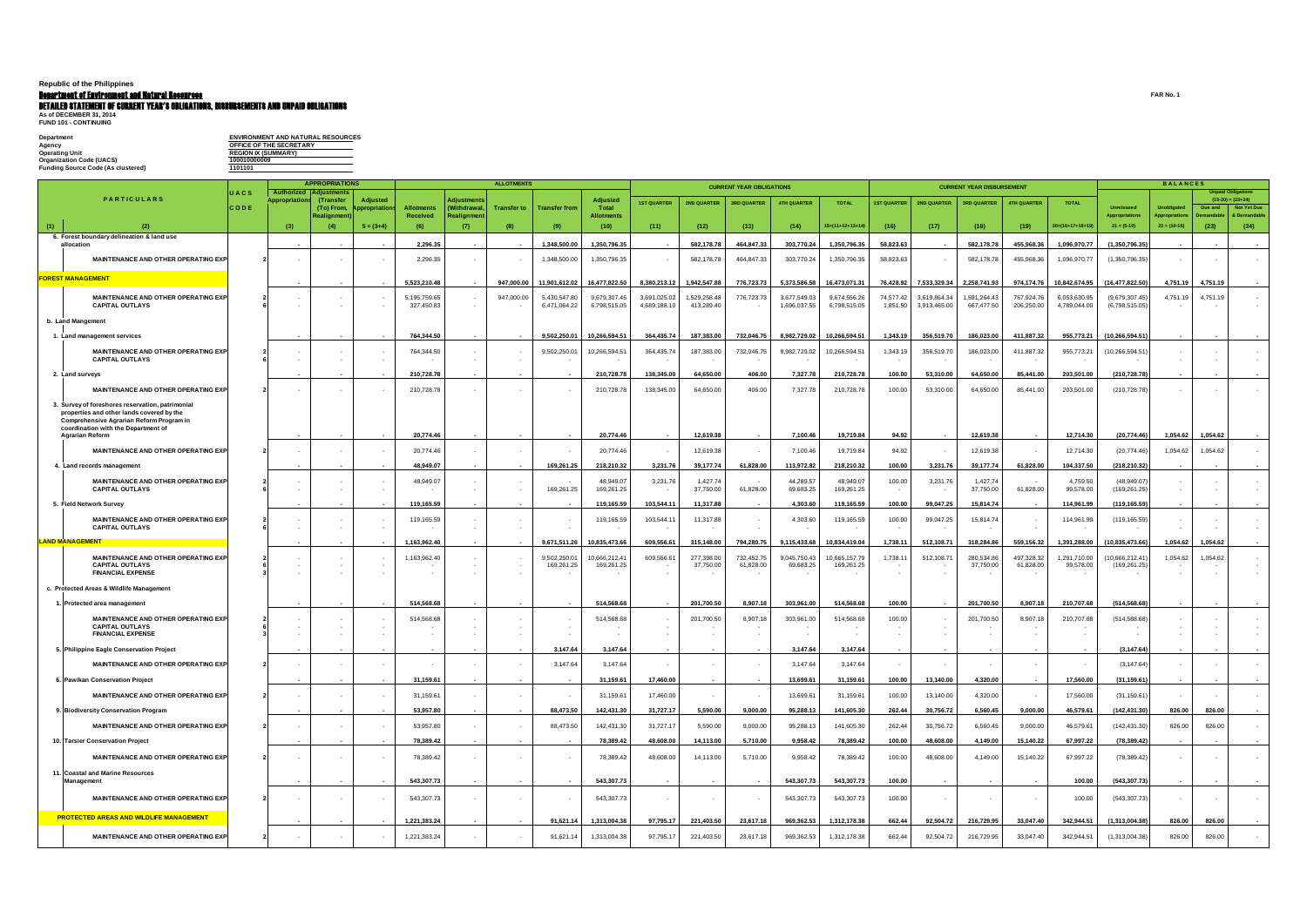## **Republic of the Philippines**

### Department of Environment and Natural Resources **FAR No. 1**

# **Detailed statement of current year's obligations, disbursements and unpaid obligations<br>As of December 31, 2014<br>FUND 101 - Continuing**

| Department                         | <b>ENVIRONMENT AND NATURAL RESOURCES</b> |
|------------------------------------|------------------------------------------|
| Aaencv                             | OFFICE OF THE SECRETARY                  |
| Operating Unit                     | <b>REGION IX (SUMMARY)</b>               |
| Organization Code (UACS)           | 100010000009                             |
| Fundina Source Code (As clustered) | 1101101                                  |
|                                    |                                          |

|     |                                                                                                                                                                                                            | <b>APPROPRIATIONS</b>      |                            |                                               |                               |                            |                           | <b>ALLOTMENTS</b>  |                              |                              |                              | <b>CURRENT YEAR OBLIGATIONS</b> |                         |                              |                              |                       |                             | <b>CURRENT YEAR DISBURSEMENT</b> |                          | <b>BALANCES</b>              |                                        |                                        |                                                                            |                  |
|-----|------------------------------------------------------------------------------------------------------------------------------------------------------------------------------------------------------------|----------------------------|----------------------------|-----------------------------------------------|-------------------------------|----------------------------|---------------------------|--------------------|------------------------------|------------------------------|------------------------------|---------------------------------|-------------------------|------------------------------|------------------------------|-----------------------|-----------------------------|----------------------------------|--------------------------|------------------------------|----------------------------------------|----------------------------------------|----------------------------------------------------------------------------|------------------|
|     | <b>PARTICULARS</b>                                                                                                                                                                                         | <b>UACS</b><br><b>CODE</b> | Authorized<br>Appropriatic | <b>Adjustments</b><br>(Transfer<br>(To) From, | <b>Adjusted</b><br>propriatio | <b>Allotments</b>          | Adjustment<br>(Withdrawal | <b>Transfer to</b> | <b>Transfer from</b>         | <b>Adjusted</b><br>Total     | <b>1ST QUARTER</b>           | 2ND QUARTER                     | <b>3RD QUARTER</b>      | <b>4TH QUARTER</b>           | <b>TOTAL</b>                 | <b>1ST QUARTER</b>    | 2ND QUARTER                 | <b>3RD QUARTER</b>               | 4TH QUARTER              | <b>TOTAL</b>                 | Unreleased                             | <b>Unobligated</b>                     | <b>Unpaid Obligations</b><br>$(15-20) = (23+24)$<br>Due and<br>Not Yet Due |                  |
| (1) | (2)                                                                                                                                                                                                        |                            | (3)                        | Realignment                                   | $5 = (3+4)$                   | <b>Received</b><br>(6)     | Realignmen<br>(7)         | (8)                | (9)                          | Allotments<br>(10)           | (11)                         | (12)                            | (13)                    | (14)                         | $15=(11+12+13+14)$           | (16)                  | (17)                        | (18)                             | (19)                     | $20=(16+17+18+19)$           | <b>Appropriations</b><br>$21 = (5-10)$ | <b>Appropriation</b><br>$22 = (10-15)$ | & Demandable<br><b>)emandab</b><br>(24)<br>(23)                            |                  |
|     | 6. Forest boundary delineation & land use<br>allocation                                                                                                                                                    |                            |                            |                                               |                               | 2,296.35                   |                           |                    | 1,348,500.00                 | 1,350,796.35                 |                              | 582,178.78                      | 464,847.33              | 303,770.24                   | 1,350,796.35                 | 58,823.63             |                             | 582,178.78                       | 455,968.36               | 1,096,970.77                 | (1,350,796.35)                         |                                        |                                                                            |                  |
|     | MAINTENANCE AND OTHER OPERATING EXP                                                                                                                                                                        |                            |                            |                                               |                               | 2,296.35                   | $\sim$                    |                    | 1,348,500.00                 | 1,350,796.35                 |                              | 582,178.78                      | 464,847.33              | 303,770.24                   | 1,350,796.35                 | 58,823.63             |                             | 582,178.78                       | 455,968.36               | 1,096,970.77                 | (1,350,796.35)                         |                                        |                                                                            |                  |
|     | <b>FOREST MANAGEMENT</b>                                                                                                                                                                                   |                            |                            |                                               |                               | 5,523,210.48               | $\overline{\phantom{a}}$  | 947,000.00         | 11,901,612.02                | 16,477,822.50                | 8,380,213.12                 | 1,942,547.88                    | 776,723.73              | 5,373,586.58                 | 16,473,071.31                | 76,428.92             | 7,533,329.34                | 2,258,741.93                     | 974,174.76               | 10,842,674.95                | (16, 477, 822.50)                      | 4,751.19                               | 4,751.19                                                                   |                  |
|     | MAINTENANCE AND OTHER OPERATING EXP<br><b>CAPITAL OUTLAYS</b>                                                                                                                                              |                            |                            |                                               |                               | 5,195,759.65<br>327,450.83 | $\sim$                    | 947,000.00         | 5,430,547.80<br>6,471,064.22 | 9,679,307.45<br>6,798,515.05 | 3,691,025.02<br>4,689,188.10 | 1,529,258.48<br>413,289.40      | 776,723.73              | 3,677,549.03<br>1,696,037.55 | 9,674,556.26<br>6,798,515.05 | 74,577.42<br>1,851.50 | 3,619,864.3<br>3,913,465.00 | 1,591,264.43<br>667,477.50       | 767,924.76<br>206,250.00 | 6,053,630.95<br>4,789,044.00 | (9,679,307.45)<br>(6,798,515.05)       | 4,751.19                               | 4,751.19                                                                   |                  |
|     | b. Land Mangement                                                                                                                                                                                          |                            |                            |                                               |                               |                            |                           |                    |                              |                              |                              |                                 |                         |                              |                              |                       |                             |                                  |                          |                              |                                        |                                        |                                                                            |                  |
|     | 1. Land management services                                                                                                                                                                                |                            |                            |                                               |                               | 764,344.50                 |                           |                    | 9,502,250.01                 | 10,266,594.51                | 364,435.74                   | 187,383.00                      | 732,046.75              | 8,982,729.02                 | 10,266,594.51                | 1,343.19              | 356,519.70                  | 186,023.00                       | 411,887.32               | 955,773.21                   | (10, 266, 594.51)                      |                                        |                                                                            |                  |
|     | <b>MAINTENANCE AND OTHER OPERATING EXP</b><br><b>CAPITAL OUTLAYS</b>                                                                                                                                       |                            |                            |                                               |                               | 764,344.50                 | $\sim$                    |                    | 9,502,250.01                 | 10,266,594.51                | 364,435.74                   | 187,383.00                      | 732,046.75              | 8,982,729.02                 | 10,266,594.51                | 1,343.19              | 356,519.70                  | 186,023.00                       | 411,887.32               | 955,773.21                   | (10, 266, 594.51)                      |                                        |                                                                            |                  |
|     | 2. Land surveys                                                                                                                                                                                            |                            |                            |                                               |                               | 210,728.78                 |                           |                    |                              | 210,728.78                   | 138,345.00                   | 64,650.00                       | 406.00                  | 7,327.78                     | 210,728.78                   | 100.00                | 53,310.00                   | 64,650.00                        | 85,441.00                | 203,501.00                   | (210,728.78)                           |                                        |                                                                            |                  |
|     | MAINTENANCE AND OTHER OPERATING EXP                                                                                                                                                                        |                            |                            |                                               |                               | 210,728.78                 | $\sim$                    |                    |                              | 210,728.78                   | 138,345.00                   | 64,650.00                       | 406.00                  | 7,327.78                     | 210,728.78                   | 100.00                | 53,310.00                   | 64,650.00                        | 85,441.00                | 203,501.00                   | (210, 728.78)                          |                                        |                                                                            |                  |
|     | 3. Survey of foreshores reservation, patrimonial<br>properties and other lands covered by the<br>Comprehensive Agrarian Reform Program in<br>coordination with the Department of<br><b>Agrarian Reform</b> |                            |                            |                                               |                               | 20,774.46                  | $\blacksquare$            |                    |                              | 20,774.46                    |                              | 12,619.38                       |                         | 7,100.46                     | 19,719.84                    | 94.92                 |                             | 12,619.38                        | $\sim$                   | 12,714.30                    | (20, 774.46)                           | 1,054.62                               | 1,054.62                                                                   |                  |
|     | <b>MAINTENANCE AND OTHER OPERATING EXP</b>                                                                                                                                                                 |                            |                            |                                               |                               | 20,774.46                  | $\sim$                    |                    |                              | 20,774.46                    |                              | 12,619.38                       |                         | 7,100.46                     | 19,719.84                    | 94.92                 |                             | 12,619.38                        |                          | 12,714.30                    | (20, 774.46)                           | 1,054.62                               | 1,054.62                                                                   |                  |
|     | 4. Land records management                                                                                                                                                                                 |                            |                            |                                               |                               | 48,949.07                  | $\overline{\phantom{a}}$  |                    | 169,261.25                   | 218,210.32                   | 3,231.76                     | 39,177.74                       | 61,828.00               | 113,972.82                   | 218,210.32                   | 100.00                | 3,231.76                    | 39,177.74                        | 61,828.00                | 104,337.50                   | (218, 210.32)                          |                                        |                                                                            |                  |
|     | MAINTENANCE AND OTHER OPERATING EXP<br><b>CAPITAL OUTLAYS</b>                                                                                                                                              |                            |                            |                                               |                               | 48,949.07                  | $\sim$                    |                    | 169,261.25                   | 48,949.07<br>169,261.25      | 3,231.76                     | 1,427.74<br>37,750.00           | 61,828.00               | 44,289.57<br>69,683.25       | 48,949.07<br>169,261.25      | 100.00<br>$\sim$      | 3,231.76                    | 1,427.74<br>37,750.00            | 61,828.00                | 4,759.50<br>99,578.00        | (48,949.07)<br>(169, 261.25)           |                                        |                                                                            |                  |
|     | 5. Field Network Survey                                                                                                                                                                                    |                            |                            |                                               |                               | 119,165.59                 |                           |                    |                              | 119,165.59                   | 103,544.11                   | 11,317.88                       |                         | 4,303.60                     | 119,165.59                   | 100.00                | 99,047.25                   | 15,814.74                        |                          | 114,961.99                   | (119, 165.59)                          |                                        |                                                                            |                  |
|     | MAINTENANCE AND OTHER OPERATING EXP<br><b>CAPITAL OUTLAYS</b>                                                                                                                                              |                            |                            |                                               |                               | 119,165.59                 | $\sim$                    |                    |                              | 119,165.59                   | 103,544.11                   | 11,317.88                       |                         | 4,303.60                     | 119,165.59                   | 100.00                | 99,047.25                   | 15,814.74                        |                          | 114,961.99                   | (119, 165.59)                          |                                        |                                                                            |                  |
|     | <b>LAND MANAGEMENT</b>                                                                                                                                                                                     |                            |                            |                                               |                               | 1,163,962.40               |                           |                    | 9,671,511.26                 | 10,835,473.66                | 609,556.61                   | 315,148.00                      | 794,280.75              | 9,115,433.68                 | 10,834,419.04                | 1,738.11              | 512,108.71                  | 318,284.86                       | 559,156.32               | 1,391,288.00                 | (10, 835, 473.66)                      | 1,054.62                               | 1,054.62                                                                   |                  |
|     | MAINTENANCE AND OTHER OPERATING EXP<br><b>CAPITAL OUTLAYS</b><br><b>FINANCIAL EXPENSE</b>                                                                                                                  |                            |                            |                                               |                               | 1,163,962.40               |                           |                    | 9,502,250.01<br>169,261.25   | 10,666,212.41<br>169,261.25  | 609,556.61                   | 277,398.00<br>37,750.00         | 732,452.75<br>61,828.00 | 9,045,750.43<br>69,683.25    | 10,665,157.79<br>169,261.25  | 1,738.11              | 512,108.7                   | 280,534.86<br>37,750.00          | 497,328.32<br>61,828.00  | 1,291,710.00<br>99,578.00    | (10,666,212.41)<br>(169, 261.25)       | 1,054.62                               | 1,054.62                                                                   |                  |
|     | c. Protected Areas & Wildlife Management                                                                                                                                                                   |                            |                            |                                               |                               |                            |                           |                    |                              |                              |                              |                                 |                         |                              |                              |                       |                             |                                  |                          |                              |                                        |                                        |                                                                            |                  |
|     | 1. Protected area management                                                                                                                                                                               |                            |                            |                                               |                               | 514,568.68                 |                           |                    |                              | 514.568.68                   |                              | 201,700.50                      | 8,907.18                | 303,961.00                   | 514,568.68                   | 100.00                |                             | 201,700.50                       | 8,907.18                 | 210,707.68                   | (514, 568.68)                          |                                        |                                                                            |                  |
|     | MAINTENANCE AND OTHER OPERATING EXP<br><b>CAPITAL OUTLAYS</b>                                                                                                                                              |                            |                            |                                               |                               | 514,568.68                 |                           |                    |                              | 514,568.68                   |                              | 201,700.50                      | 8,907.18                | 303,961.00                   | 514,568.68                   | 100.00                |                             | 201,700.50                       | 8,907.18                 | 210,707.68                   | (514, 568.68)                          |                                        |                                                                            |                  |
|     | <b>FINANCIAL EXPENSE</b>                                                                                                                                                                                   |                            |                            |                                               |                               |                            |                           |                    |                              |                              |                              |                                 |                         |                              |                              |                       |                             |                                  |                          |                              |                                        |                                        |                                                                            |                  |
|     | 5. Philippine Eagle Conservation Project<br>MAINTENANCE AND OTHER OPERATING EXP                                                                                                                            |                            |                            |                                               |                               |                            |                           |                    | 3,147.64<br>3.147.64         | 3,147.64<br>3.147.64         |                              |                                 |                         | 3,147.64<br>3,147.64         | 3,147.64<br>3.147.64         |                       |                             |                                  |                          |                              | (3, 147.64)<br>(3, 147.64)             |                                        |                                                                            |                  |
|     | 6. Pawikan Conservation Project                                                                                                                                                                            |                            |                            |                                               |                               | 31,159.61                  | $\overline{\phantom{a}}$  |                    |                              | 31,159.61                    | 17,460.00                    | $\sim$                          |                         | 13,699.61                    | 31,159.61                    | 100.00                | 13,140.00                   | 4,320.00                         | $\sim$                   | 17,560.00                    | (31, 159.61)                           | $\sim$                                 |                                                                            |                  |
|     | <b>MAINTENANCE AND OTHER OPERATING EXP</b>                                                                                                                                                                 | $\overline{\mathbf{2}}$    | $\sim$                     |                                               |                               | 31,159.61                  | $\sim$                    |                    |                              | 31,159.61                    | 17,460.00                    | $\sim$                          |                         | 13,699.61                    | 31,159.61                    | 100.00                | 13,140.00                   | 4,320.00                         |                          | 17,560.00                    | (31, 159.61)                           | $\sim$                                 |                                                                            |                  |
|     | 9. Biodiversity Conservation Program                                                                                                                                                                       |                            |                            |                                               |                               | 53,957.80                  |                           |                    | 88,473.50                    | 142,431.30                   | 31,727.17                    | 5,590.00                        | 9,000.00                | 95,288.13                    | 141,605.30                   | 262.44                | 30,756.72                   | 6,560.45                         | 9,000.00                 | 46,579.61                    | (142, 431.30)                          | 826.00                                 | 826.00                                                                     |                  |
|     | <b>MAINTENANCE AND OTHER OPERATING EXP</b>                                                                                                                                                                 | $\overline{2}$             | $\sim$                     | $\sim$                                        |                               | 53,957.80                  | $\sim$                    |                    | 88,473.50                    | 142,431.30                   | 31,727.17                    | 5,590.00                        | 9,000.00                | 95,288.13                    | 141,605.30                   | 262.44                | 30,756.72                   | 6,560.45                         | 9,000.00                 | 46,579.61                    | (142, 431.30)                          | 826.00                                 | 826.00                                                                     | $\sim$           |
|     | 10. Tarsier Conservation Project                                                                                                                                                                           |                            |                            |                                               |                               | 78,389.42                  | $\sim$                    |                    |                              | 78,389.42                    | 48,608.00                    | 14,113.00                       | 5,710.00                | 9,958.42                     | 78,389.42                    | 100.00                | 48,608.00                   | 4,149.00                         | 15,140.22                | 67,997.22                    | (78, 389.42)                           | $\sim$                                 |                                                                            |                  |
|     | MAINTENANCE AND OTHER OPERATING EXP                                                                                                                                                                        | $\overline{2}$             | $\sim$                     |                                               |                               | 78,389.42                  | $\sim$                    |                    |                              | 78,389.42                    | 48,608.00                    | 14,113.00                       | 5,710.00                | 9,958.42                     | 78,389.42                    | 100.00                | 48,608.00                   | 4,149.00                         | 15,140.22                | 67,997.22                    | (78, 389.42)                           | $\sim$                                 |                                                                            | $\sim$           |
|     | 11. Coastal and Marine Resources<br>Management                                                                                                                                                             |                            |                            |                                               |                               | 543,307.73                 | $\sim$                    | $\sim$             | $\blacksquare$               | 543,307.73                   | $\sim$                       | $\overline{\phantom{a}}$        |                         | 543,307.73                   | 543,307.73                   | 100.00                |                             |                                  |                          | 100.00                       | (543, 307.73)                          | $\overline{\phantom{a}}$               |                                                                            |                  |
|     | MAINTENANCE AND OTHER OPERATING EXP                                                                                                                                                                        |                            | $\overline{2}$<br>$\sim$   | $\sim$                                        |                               | 543,307.73                 | $\sim$                    | $\sim$             |                              | 543,307.73                   | $\sim$                       | $\sim$                          |                         | 543,307.73                   | 543,307.73                   | 100.00                |                             | $\sim$                           |                          | 100.00                       | (543, 307.73)                          | $\sim$                                 |                                                                            |                  |
|     | <b>PROTECTED AREAS AND WILDLIFE MANAGEMENT</b>                                                                                                                                                             |                            |                            |                                               |                               | 1,221,383.24               | $\sim$                    | $\sim$             | 91,621.14                    | 1,313,004.38                 | 97,795.17                    | 221,403.50                      | 23,617.18               | 969,362.53                   | 1,312,178.38                 | 662.44                | 92,504.72                   | 216,729.95                       | 33,047.40                | 342,944.51                   | (1,313,004.38)                         | 826.00                                 | 826.00                                                                     | $\sim$ 100 $\pm$ |
|     | MAINTENANCE AND OTHER OPERATING EXP                                                                                                                                                                        | $\overline{\mathbf{2}}$    | $\sim$                     |                                               |                               | 1,221,383.24               | $\sim$                    |                    | 91,621.14                    | 1,313,004.38                 | 97,795.17                    | 221,403.50                      | 23,617.18               | 969,362.53                   | 1,312,178.38                 | 662.44                | 92,504.72                   | 216,729.95                       | 33,047.40                | 342,944.51                   | (1,313,004.38)                         | 826.00                                 | 826.00                                                                     | $\sim$           |